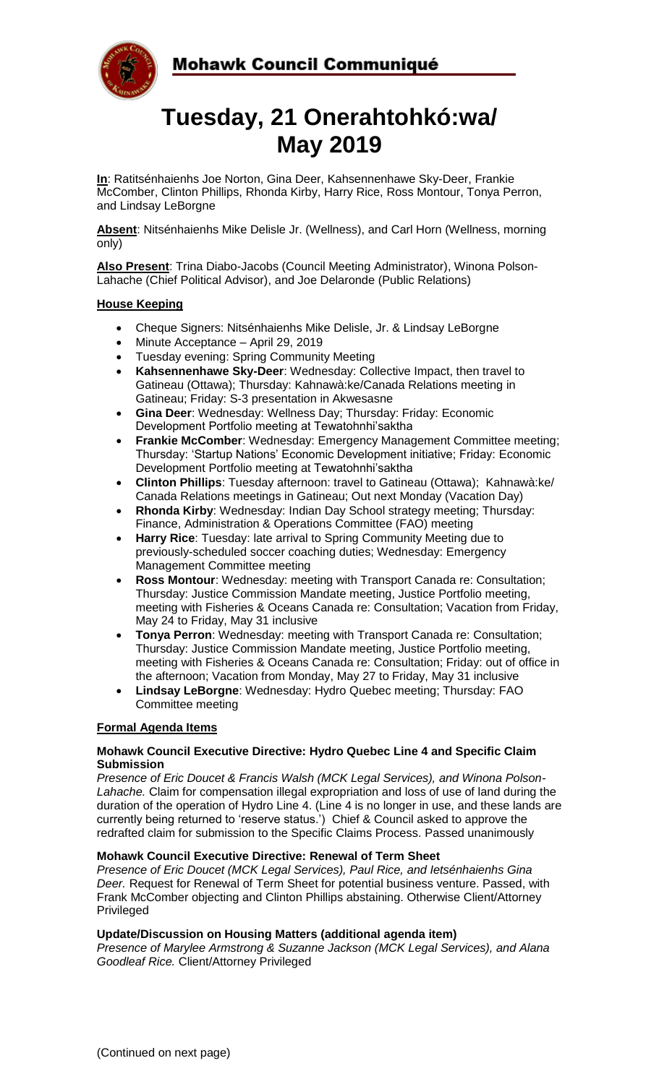



# **Tuesday, 21 Onerahtohkó:wa/ May 2019**

**In**: Ratitsénhaienhs Joe Norton, Gina Deer, Kahsennenhawe Sky-Deer, Frankie McComber, Clinton Phillips, Rhonda Kirby, Harry Rice, Ross Montour, Tonya Perron, and Lindsay LeBorgne

**Absent**: Nitsénhaienhs Mike Delisle Jr. (Wellness), and Carl Horn (Wellness, morning only)

**Also Present**: Trina Diabo-Jacobs (Council Meeting Administrator), Winona Polson-Lahache (Chief Political Advisor), and Joe Delaronde (Public Relations)

### **House Keeping**

- Cheque Signers: Nitsénhaienhs Mike Delisle, Jr. & Lindsay LeBorgne
- Minute Acceptance April 29, 2019
- Tuesday evening: Spring Community Meeting
- **Kahsennenhawe Sky-Deer**: Wednesday: Collective Impact, then travel to Gatineau (Ottawa); Thursday: Kahnawà:ke/Canada Relations meeting in Gatineau; Friday: S-3 presentation in Akwesasne
- **Gina Deer**: Wednesday: Wellness Day; Thursday: Friday: Economic Development Portfolio meeting at Tewatohnhi'saktha
- **Frankie McComber**: Wednesday: Emergency Management Committee meeting; Thursday: 'Startup Nations' Economic Development initiative; Friday: Economic Development Portfolio meeting at Tewatohnhi'saktha
- **Clinton Phillips**: Tuesday afternoon: travel to Gatineau (Ottawa); Kahnawà:ke/ Canada Relations meetings in Gatineau; Out next Monday (Vacation Day)
- **Rhonda Kirby**: Wednesday: Indian Day School strategy meeting; Thursday: Finance, Administration & Operations Committee (FAO) meeting
- **Harry Rice**: Tuesday: late arrival to Spring Community Meeting due to previously-scheduled soccer coaching duties; Wednesday: Emergency Management Committee meeting
- **Ross Montour**: Wednesday: meeting with Transport Canada re: Consultation; Thursday: Justice Commission Mandate meeting, Justice Portfolio meeting, meeting with Fisheries & Oceans Canada re: Consultation; Vacation from Friday, May 24 to Friday, May 31 inclusive
- **Tonya Perron**: Wednesday: meeting with Transport Canada re: Consultation; Thursday: Justice Commission Mandate meeting, Justice Portfolio meeting, meeting with Fisheries & Oceans Canada re: Consultation; Friday: out of office in the afternoon; Vacation from Monday, May 27 to Friday, May 31 inclusive
- **Lindsay LeBorgne**: Wednesday: Hydro Quebec meeting; Thursday: FAO Committee meeting

#### **Formal Agenda Items**

#### **Mohawk Council Executive Directive: Hydro Quebec Line 4 and Specific Claim Submission**

*Presence of Eric Doucet & Francis Walsh (MCK Legal Services), and Winona Polson-Lahache.* Claim for compensation illegal expropriation and loss of use of land during the duration of the operation of Hydro Line 4. (Line 4 is no longer in use, and these lands are currently being returned to 'reserve status.') Chief & Council asked to approve the redrafted claim for submission to the Specific Claims Process. Passed unanimously

#### **Mohawk Council Executive Directive: Renewal of Term Sheet**

*Presence of Eric Doucet (MCK Legal Services), Paul Rice, and Ietsénhaienhs Gina Deer.* Request for Renewal of Term Sheet for potential business venture. Passed, with Frank McComber objecting and Clinton Phillips abstaining. Otherwise Client/Attorney Privileged

#### **Update/Discussion on Housing Matters (additional agenda item)**

*Presence of Marylee Armstrong & Suzanne Jackson (MCK Legal Services), and Alana Goodleaf Rice.* Client/Attorney Privileged